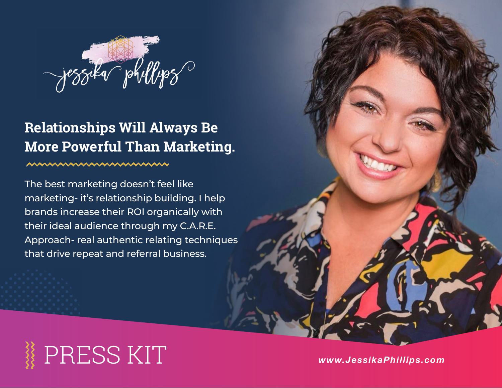

## **Relationships Will Always Be More Powerful Than Marketing.**

#### nnnnnnnnnnnn

The best marketing doesn't feel like marketing- it's relationship building. I help brands increase their ROI organically with their ideal audience through my C.A.R.E. Approach- real authentic relating techniques that drive repeat and referral business.

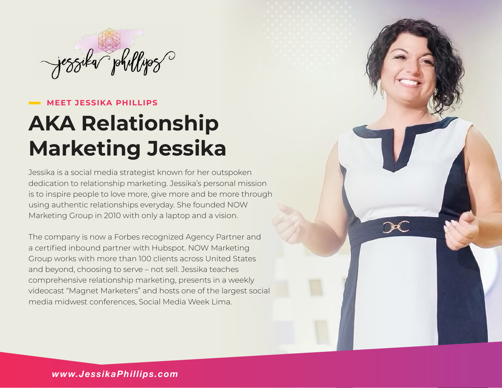

#### **MEET JESSIKA PHILLIPS**

# **AKA Relationship Marketing Jessika**

Jessika is a social media strategist known for her outspoken dedication to relationship marketing. Jessika's personal mission is to inspire people to love more, give more and be more through using authentic relationships everyday. She founded NOW Marketing Group in 2010 with only a laptop and a vision.

The company is now a Forbes recognized Agency Partner and a certified inbound partner with Hubspot. NOW Marketing Group works with more than 100 clients across United States and beyond, choosing to serve – not sell. Jessika teaches comprehensive relationship marketing, presents in a weekly videocast "Magnet Marketers" and hosts one of the largest social media midwest conferences, Social Media Week Lima.

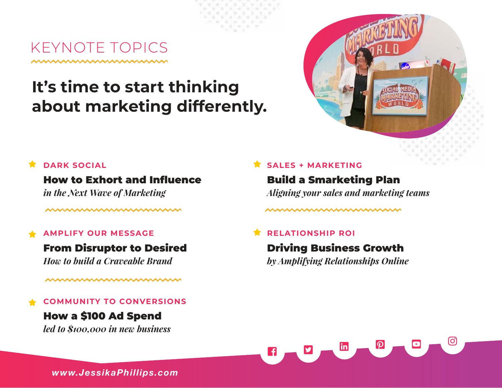KEYNOTE TOPICS

## **It's time to start thinking about marketing differently.**



### How to Exhort and Influence

*in the Next Wave of Marketing*

wwwwwwwwwwww

#### **AMPLIFY OUR MESSAGE** ★

#### From Disruptor to Desired

*How to build a Craveable Brand*

#### wwwwwwwwwwwww

#### **COMMUNITY TO CONVERSIONS** ★

### How a \$100 Ad Spend

*led to \$100,000 in new business*

### **SALES + MARKETING**

Build a Smarketing Plan *Aligning your sales and marketing teams*

mmmmmmmmmmm

#### **RELATIONSHIP ROI** ★

Driving Business Growth *by Amplifying Relationships Online*



*www.JessikaPhillips.com*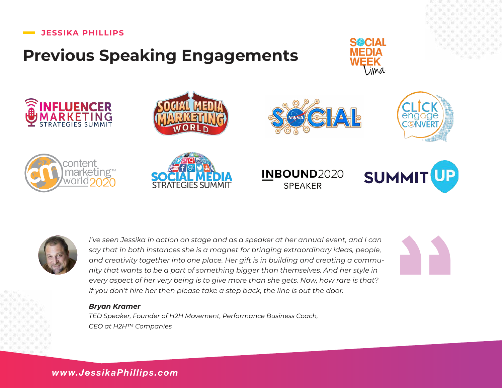#### **JESSIKA PHILLIPS**

## **Previous Speaking Engagements**





















*I've seen Jessika in action on stage and as a speaker at her annual event, and I can say that in both instances she is a magnet for bringing extraordinary ideas, people, and creativity together into one place. Her gift is in building and creating a community that wants to be a part of something bigger than themselves. And her style in every aspect of her very being is to give more than she gets. Now, how rare is that? If you don't hire her then please take a step back, the line is out the door.* 

#### *Bryan Kramer*

*TED Speaker, Founder of H2H Movement, Performance Business Coach, CEO at H2H™ Companies* 

*www.JessikaPhillips.com*